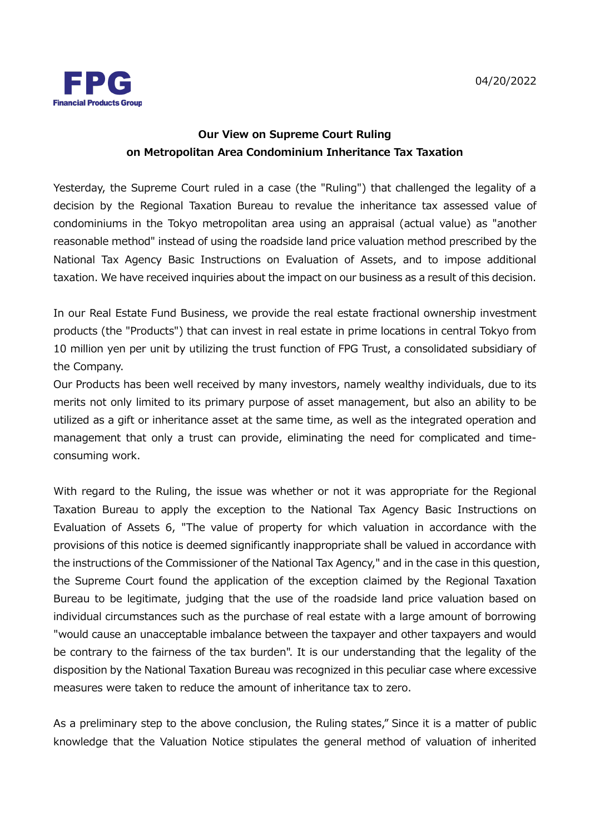

## **Our View on Supreme Court Ruling on Metropolitan Area Condominium Inheritance Tax Taxation**

Yesterday, the Supreme Court ruled in a case (the "Ruling") that challenged the legality of a decision by the Regional Taxation Bureau to revalue the inheritance tax assessed value of condominiums in the Tokyo metropolitan area using an appraisal (actual value) as "another reasonable method" instead of using the roadside land price valuation method prescribed by the National Tax Agency Basic Instructions on Evaluation of Assets, and to impose additional taxation. We have received inquiries about the impact on our business as a result of this decision.

In our Real Estate Fund Business, we provide the real estate fractional ownership investment products (the "Products") that can invest in real estate in prime locations in central Tokyo from 10 million yen per unit by utilizing the trust function of FPG Trust, a consolidated subsidiary of the Company.

Our Products has been well received by many investors, namely wealthy individuals, due to its merits not only limited to its primary purpose of asset management, but also an ability to be utilized as a gift or inheritance asset at the same time, as well as the integrated operation and management that only a trust can provide, eliminating the need for complicated and timeconsuming work.

With regard to the Ruling, the issue was whether or not it was appropriate for the Regional Taxation Bureau to apply the exception to the National Tax Agency Basic Instructions on Evaluation of Assets 6, "The value of property for which valuation in accordance with the provisions of this notice is deemed significantly inappropriate shall be valued in accordance with the instructions of the Commissioner of the National Tax Agency," and in the case in this question, the Supreme Court found the application of the exception claimed by the Regional Taxation Bureau to be legitimate, judging that the use of the roadside land price valuation based on individual circumstances such as the purchase of real estate with a large amount of borrowing "would cause an unacceptable imbalance between the taxpayer and other taxpayers and would be contrary to the fairness of the tax burden". It is our understanding that the legality of the disposition by the National Taxation Bureau was recognized in this peculiar case where excessive measures were taken to reduce the amount of inheritance tax to zero.

As a preliminary step to the above conclusion, the Ruling states," Since it is a matter of public knowledge that the Valuation Notice stipulates the general method of valuation of inherited